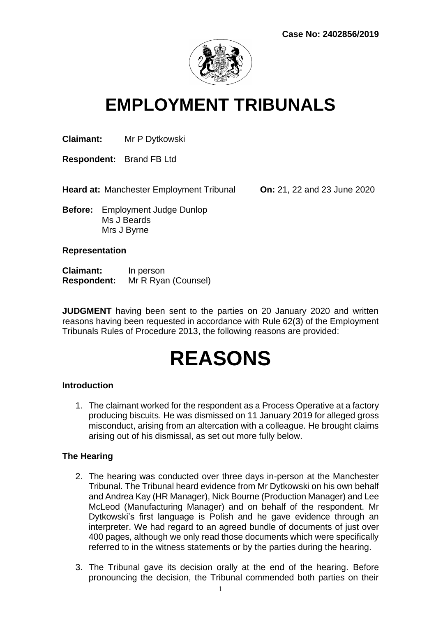

# **EMPLOYMENT TRIBUNALS**

**Claimant:** Mr P Dytkowski

**Respondent:** Brand FB Ltd

**Heard at:** Manchester Employment Tribunal **On:** 21, 22 and 23 June 2020

**Before:** Employment Judge Dunlop Ms J Beards Mrs J Byrne

#### **Representation**

| <b>Claimant:</b>   | In person           |
|--------------------|---------------------|
| <b>Respondent:</b> | Mr R Ryan (Counsel) |

**JUDGMENT** having been sent to the parties on 20 January 2020 and written reasons having been requested in accordance with Rule 62(3) of the Employment Tribunals Rules of Procedure 2013, the following reasons are provided:

# **REASONS**

#### **Introduction**

1. The claimant worked for the respondent as a Process Operative at a factory producing biscuits. He was dismissed on 11 January 2019 for alleged gross misconduct, arising from an altercation with a colleague. He brought claims arising out of his dismissal, as set out more fully below.

#### **The Hearing**

- 2. The hearing was conducted over three days in-person at the Manchester Tribunal. The Tribunal heard evidence from Mr Dytkowski on his own behalf and Andrea Kay (HR Manager), Nick Bourne (Production Manager) and Lee McLeod (Manufacturing Manager) and on behalf of the respondent. Mr Dytkowski's first language is Polish and he gave evidence through an interpreter. We had regard to an agreed bundle of documents of just over 400 pages, although we only read those documents which were specifically referred to in the witness statements or by the parties during the hearing.
- 3. The Tribunal gave its decision orally at the end of the hearing. Before pronouncing the decision, the Tribunal commended both parties on their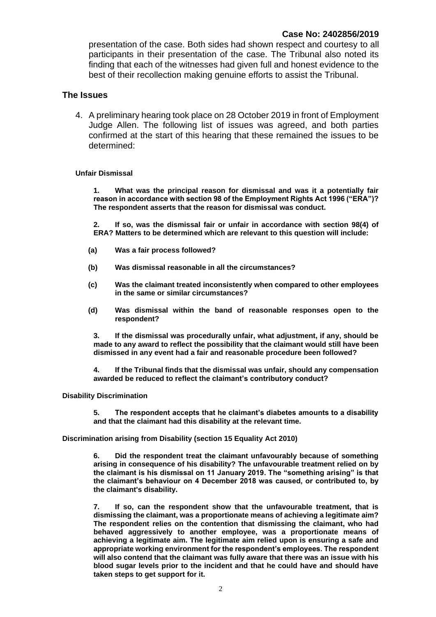presentation of the case. Both sides had shown respect and courtesy to all participants in their presentation of the case. The Tribunal also noted its finding that each of the witnesses had given full and honest evidence to the best of their recollection making genuine efforts to assist the Tribunal.

#### **The Issues**

4. A preliminary hearing took place on 28 October 2019 in front of Employment Judge Allen. The following list of issues was agreed, and both parties confirmed at the start of this hearing that these remained the issues to be determined:

#### **Unfair Dismissal**

**1. What was the principal reason for dismissal and was it a potentially fair reason in accordance with section 98 of the Employment Rights Act 1996 ("ERA")? The respondent asserts that the reason for dismissal was conduct.** 

**2. If so, was the dismissal fair or unfair in accordance with section 98(4) of ERA? Matters to be determined which are relevant to this question will include:**

- **(a) Was a fair process followed?**
- **(b) Was dismissal reasonable in all the circumstances?**
- **(c) Was the claimant treated inconsistently when compared to other employees in the same or similar circumstances?**
- **(d) Was dismissal within the band of reasonable responses open to the respondent?**

**3. If the dismissal was procedurally unfair, what adjustment, if any, should be made to any award to reflect the possibility that the claimant would still have been dismissed in any event had a fair and reasonable procedure been followed?**

**4. If the Tribunal finds that the dismissal was unfair, should any compensation awarded be reduced to reflect the claimant's contributory conduct?**

#### **Disability Discrimination**

**5. The respondent accepts that he claimant's diabetes amounts to a disability and that the claimant had this disability at the relevant time.** 

**Discrimination arising from Disability (section 15 Equality Act 2010)**

**6. Did the respondent treat the claimant unfavourably because of something arising in consequence of his disability? The unfavourable treatment relied on by the claimant is his dismissal on 11 January 2019. The "something arising" is that the claimant's behaviour on 4 December 2018 was caused, or contributed to, by the claimant's disability.**

**7. If so, can the respondent show that the unfavourable treatment, that is dismissing the claimant, was a proportionate means of achieving a legitimate aim? The respondent relies on the contention that dismissing the claimant, who had behaved aggressively to another employee, was a proportionate means of achieving a legitimate aim. The legitimate aim relied upon is ensuring a safe and appropriate working environment for the respondent's employees. The respondent will also contend that the claimant was fully aware that there was an issue with his blood sugar levels prior to the incident and that he could have and should have taken steps to get support for it.**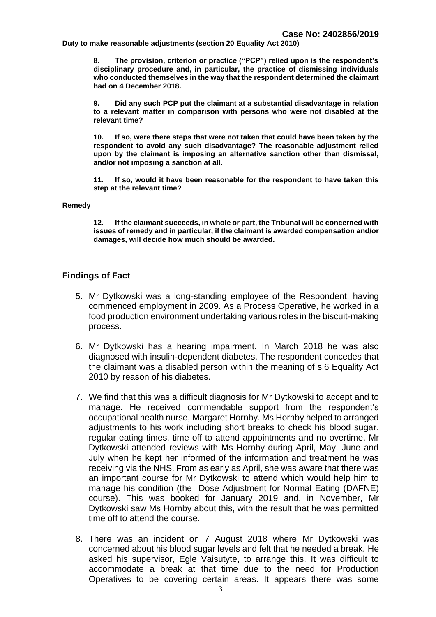**Duty to make reasonable adjustments (section 20 Equality Act 2010)**

**8. The provision, criterion or practice ("PCP") relied upon is the respondent's disciplinary procedure and, in particular, the practice of dismissing individuals who conducted themselves in the way that the respondent determined the claimant had on 4 December 2018.** 

**9. Did any such PCP put the claimant at a substantial disadvantage in relation to a relevant matter in comparison with persons who were not disabled at the relevant time?**

**10. If so, were there steps that were not taken that could have been taken by the respondent to avoid any such disadvantage? The reasonable adjustment relied upon by the claimant is imposing an alternative sanction other than dismissal, and/or not imposing a sanction at all.** 

**11. If so, would it have been reasonable for the respondent to have taken this step at the relevant time?**

#### **Remedy**

**12. If the claimant succeeds, in whole or part, the Tribunal will be concerned with issues of remedy and in particular, if the claimant is awarded compensation and/or damages, will decide how much should be awarded.** 

#### **Findings of Fact**

- 5. Mr Dytkowski was a long-standing employee of the Respondent, having commenced employment in 2009. As a Process Operative, he worked in a food production environment undertaking various roles in the biscuit-making process.
- 6. Mr Dytkowski has a hearing impairment. In March 2018 he was also diagnosed with insulin-dependent diabetes. The respondent concedes that the claimant was a disabled person within the meaning of s.6 Equality Act 2010 by reason of his diabetes.
- 7. We find that this was a difficult diagnosis for Mr Dytkowski to accept and to manage. He received commendable support from the respondent's occupational health nurse, Margaret Hornby. Ms Hornby helped to arranged adjustments to his work including short breaks to check his blood sugar, regular eating times, time off to attend appointments and no overtime. Mr Dytkowski attended reviews with Ms Hornby during April, May, June and July when he kept her informed of the information and treatment he was receiving via the NHS. From as early as April, she was aware that there was an important course for Mr Dytkowski to attend which would help him to manage his condition (the Dose Adjustment for Normal Eating (DAFNE) course). This was booked for January 2019 and, in November, Mr Dytkowski saw Ms Hornby about this, with the result that he was permitted time off to attend the course.
- 8. There was an incident on 7 August 2018 where Mr Dytkowski was concerned about his blood sugar levels and felt that he needed a break. He asked his supervisor, Egle Vaisutyte, to arrange this. It was difficult to accommodate a break at that time due to the need for Production Operatives to be covering certain areas. It appears there was some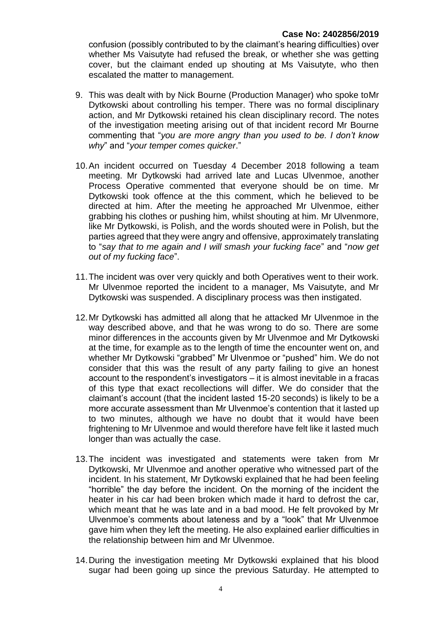confusion (possibly contributed to by the claimant's hearing difficulties) over whether Ms Vaisutyte had refused the break, or whether she was getting cover, but the claimant ended up shouting at Ms Vaisutyte, who then escalated the matter to management.

- 9. This was dealt with by Nick Bourne (Production Manager) who spoke toMr Dytkowski about controlling his temper. There was no formal disciplinary action, and Mr Dytkowski retained his clean disciplinary record. The notes of the investigation meeting arising out of that incident record Mr Bourne commenting that "*you are more angry than you used to be. I don't know why*" and "*your temper comes quicker*."
- 10.An incident occurred on Tuesday 4 December 2018 following a team meeting. Mr Dytkowski had arrived late and Lucas Ulvenmoe, another Process Operative commented that everyone should be on time. Mr Dytkowski took offence at the this comment, which he believed to be directed at him. After the meeting he approached Mr Ulvenmoe, either grabbing his clothes or pushing him, whilst shouting at him. Mr Ulvenmore, like Mr Dytkowski, is Polish, and the words shouted were in Polish, but the parties agreed that they were angry and offensive, approximately translating to "*say that to me again and I will smash your fucking face*" and "*now get out of my fucking face*".
- 11.The incident was over very quickly and both Operatives went to their work. Mr Ulvenmoe reported the incident to a manager, Ms Vaisutyte, and Mr Dytkowski was suspended. A disciplinary process was then instigated.
- 12.Mr Dytkowski has admitted all along that he attacked Mr Ulvenmoe in the way described above, and that he was wrong to do so. There are some minor differences in the accounts given by Mr Ulvenmoe and Mr Dytkowski at the time, for example as to the length of time the encounter went on, and whether Mr Dytkowski "grabbed" Mr Ulvenmoe or "pushed" him. We do not consider that this was the result of any party failing to give an honest account to the respondent's investigators – it is almost inevitable in a fracas of this type that exact recollections will differ. We do consider that the claimant's account (that the incident lasted 15-20 seconds) is likely to be a more accurate assessment than Mr Ulvenmoe's contention that it lasted up to two minutes, although we have no doubt that it would have been frightening to Mr Ulvenmoe and would therefore have felt like it lasted much longer than was actually the case.
- 13.The incident was investigated and statements were taken from Mr Dytkowski, Mr Ulvenmoe and another operative who witnessed part of the incident. In his statement, Mr Dytkowski explained that he had been feeling "horrible" the day before the incident. On the morning of the incident the heater in his car had been broken which made it hard to defrost the car, which meant that he was late and in a bad mood. He felt provoked by Mr Ulvenmoe's comments about lateness and by a "look" that Mr Ulvenmoe gave him when they left the meeting. He also explained earlier difficulties in the relationship between him and Mr Ulvenmoe.
- 14.During the investigation meeting Mr Dytkowski explained that his blood sugar had been going up since the previous Saturday. He attempted to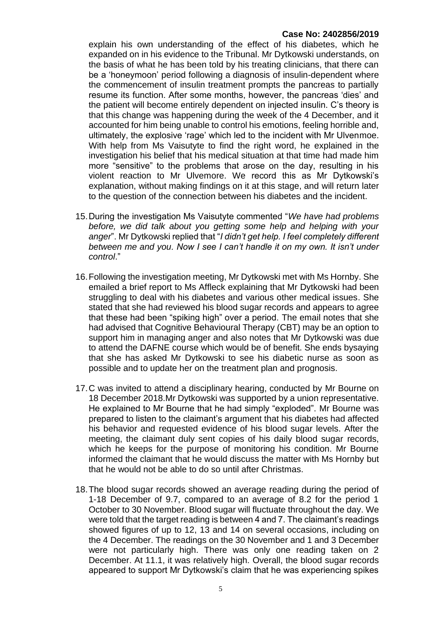explain his own understanding of the effect of his diabetes, which he expanded on in his evidence to the Tribunal. Mr Dytkowski understands, on the basis of what he has been told by his treating clinicians, that there can be a 'honeymoon' period following a diagnosis of insulin-dependent where the commencement of insulin treatment prompts the pancreas to partially resume its function. After some months, however, the pancreas 'dies' and the patient will become entirely dependent on injected insulin. C's theory is that this change was happening during the week of the 4 December, and it accounted for him being unable to control his emotions, feeling horrible and, ultimately, the explosive 'rage' which led to the incident with Mr Ulvenmoe. With help from Ms Vaisutyte to find the right word, he explained in the investigation his belief that his medical situation at that time had made him more "sensitive" to the problems that arose on the day, resulting in his violent reaction to Mr Ulvemore. We record this as Mr Dytkowski's explanation, without making findings on it at this stage, and will return later to the question of the connection between his diabetes and the incident.

- 15.During the investigation Ms Vaisutyte commented "*We have had problems before, we did talk about you getting some help and helping with your anger*". Mr Dytkowski replied that "*I didn't get help. I feel completely different between me and you. Now I see I can't handle it on my own. It isn't under control*."
- 16.Following the investigation meeting, Mr Dytkowski met with Ms Hornby. She emailed a brief report to Ms Affleck explaining that Mr Dytkowski had been struggling to deal with his diabetes and various other medical issues. She stated that she had reviewed his blood sugar records and appears to agree that these had been "spiking high" over a period. The email notes that she had advised that Cognitive Behavioural Therapy (CBT) may be an option to support him in managing anger and also notes that Mr Dytkowski was due to attend the DAFNE course which would be of benefit. She ends bysaying that she has asked Mr Dytkowski to see his diabetic nurse as soon as possible and to update her on the treatment plan and prognosis.
- 17.C was invited to attend a disciplinary hearing, conducted by Mr Bourne on 18 December 2018.Mr Dytkowski was supported by a union representative. He explained to Mr Bourne that he had simply "exploded". Mr Bourne was prepared to listen to the claimant's argument that his diabetes had affected his behavior and requested evidence of his blood sugar levels. After the meeting, the claimant duly sent copies of his daily blood sugar records, which he keeps for the purpose of monitoring his condition. Mr Bourne informed the claimant that he would discuss the matter with Ms Hornby but that he would not be able to do so until after Christmas.
- 18.The blood sugar records showed an average reading during the period of 1-18 December of 9.7, compared to an average of 8.2 for the period 1 October to 30 November. Blood sugar will fluctuate throughout the day. We were told that the target reading is between 4 and 7. The claimant's readings showed figures of up to 12, 13 and 14 on several occasions, including on the 4 December. The readings on the 30 November and 1 and 3 December were not particularly high. There was only one reading taken on 2 December. At 11.1, it was relatively high. Overall, the blood sugar records appeared to support Mr Dytkowski's claim that he was experiencing spikes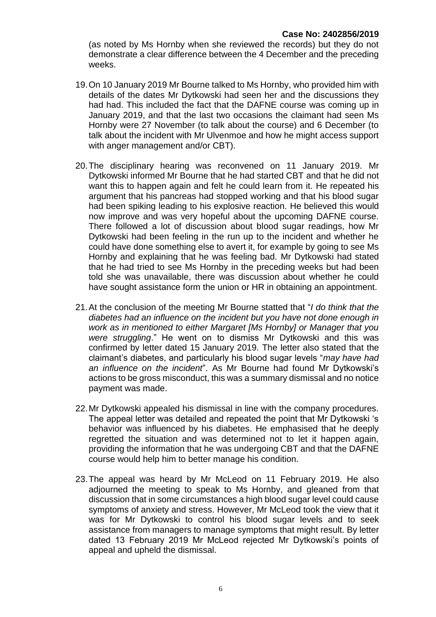(as noted by Ms Hornby when she reviewed the records) but they do not demonstrate a clear difference between the 4 December and the preceding weeks.

- 19.On 10 January 2019 Mr Bourne talked to Ms Hornby, who provided him with details of the dates Mr Dytkowski had seen her and the discussions they had had. This included the fact that the DAFNE course was coming up in January 2019, and that the last two occasions the claimant had seen Ms Hornby were 27 November (to talk about the course) and 6 December (to talk about the incident with Mr Ulvenmoe and how he might access support with anger management and/or CBT).
- 20.The disciplinary hearing was reconvened on 11 January 2019. Mr Dytkowski informed Mr Bourne that he had started CBT and that he did not want this to happen again and felt he could learn from it. He repeated his argument that his pancreas had stopped working and that his blood sugar had been spiking leading to his explosive reaction. He believed this would now improve and was very hopeful about the upcoming DAFNE course. There followed a lot of discussion about blood sugar readings, how Mr Dytkowski had been feeling in the run up to the incident and whether he could have done something else to avert it, for example by going to see Ms Hornby and explaining that he was feeling bad. Mr Dytkowski had stated that he had tried to see Ms Hornby in the preceding weeks but had been told she was unavailable, there was discussion about whether he could have sought assistance form the union or HR in obtaining an appointment.
- 21.At the conclusion of the meeting Mr Bourne statted that "*I do think that the diabetes had an influence on the incident but you have not done enough in work as in mentioned to either Margaret [Ms Hornby] or Manager that you were struggling*." He went on to dismiss Mr Dytkowski and this was confirmed by letter dated 15 January 2019. The letter also stated that the claimant's diabetes, and particularly his blood sugar levels "*may have had an influence on the incident*". As Mr Bourne had found Mr Dytkowski's actions to be gross misconduct, this was a summary dismissal and no notice payment was made.
- 22.Mr Dytkowski appealed his dismissal in line with the company procedures. The appeal letter was detailed and repeated the point that Mr Dytkowski 's behavior was influenced by his diabetes. He emphasised that he deeply regretted the situation and was determined not to let it happen again, providing the information that he was undergoing CBT and that the DAFNE course would help him to better manage his condition.
- 23.The appeal was heard by Mr McLeod on 11 February 2019. He also adjourned the meeting to speak to Ms Hornby, and gleaned from that discussion that in some circumstances a high blood sugar level could cause symptoms of anxiety and stress. However, Mr McLeod took the view that it was for Mr Dytkowski to control his blood sugar levels and to seek assistance from managers to manage symptoms that might result. By letter dated 13 February 2019 Mr McLeod rejected Mr Dytkowski's points of appeal and upheld the dismissal.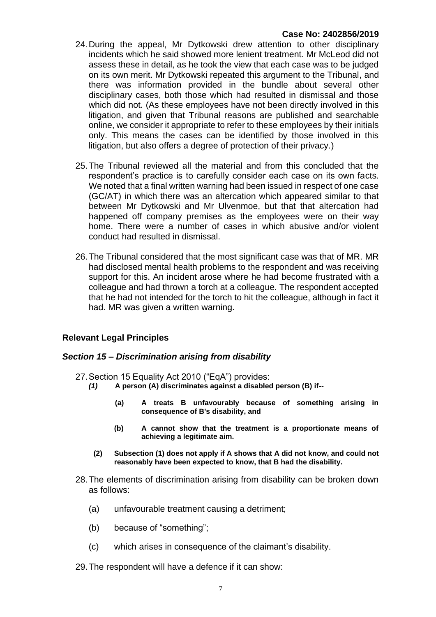- 24.During the appeal, Mr Dytkowski drew attention to other disciplinary incidents which he said showed more lenient treatment. Mr McLeod did not assess these in detail, as he took the view that each case was to be judged on its own merit. Mr Dytkowski repeated this argument to the Tribunal, and there was information provided in the bundle about several other disciplinary cases, both those which had resulted in dismissal and those which did not. (As these employees have not been directly involved in this litigation, and given that Tribunal reasons are published and searchable online, we consider it appropriate to refer to these employees by their initials only. This means the cases can be identified by those involved in this litigation, but also offers a degree of protection of their privacy.)
- 25.The Tribunal reviewed all the material and from this concluded that the respondent's practice is to carefully consider each case on its own facts. We noted that a final written warning had been issued in respect of one case (GC/AT) in which there was an altercation which appeared similar to that between Mr Dytkowski and Mr Ulvenmoe, but that that altercation had happened off company premises as the employees were on their way home. There were a number of cases in which abusive and/or violent conduct had resulted in dismissal.
- 26.The Tribunal considered that the most significant case was that of MR. MR had disclosed mental health problems to the respondent and was receiving support for this. An incident arose where he had become frustrated with a colleague and had thrown a torch at a colleague. The respondent accepted that he had not intended for the torch to hit the colleague, although in fact it had. MR was given a written warning.

#### **Relevant Legal Principles**

#### *Section 15 – Discrimination arising from disability*

- 27.Section 15 Equality Act 2010 ("EqA") provides:
	- *(1)* **A person (A) discriminates against a disabled person (B) if--**
		- **(a) A treats B unfavourably because of something arising in consequence of B's disability, and**
		- **(b) A cannot show that the treatment is a proportionate means of achieving a legitimate aim.**
		- **(2) Subsection (1) does not apply if A shows that A did not know, and could not reasonably have been expected to know, that B had the disability.**
- 28.The elements of discrimination arising from disability can be broken down as follows:
	- (a) unfavourable treatment causing a detriment;
	- (b) because of "something";
	- (c) which arises in consequence of the claimant's disability.
- 29.The respondent will have a defence if it can show: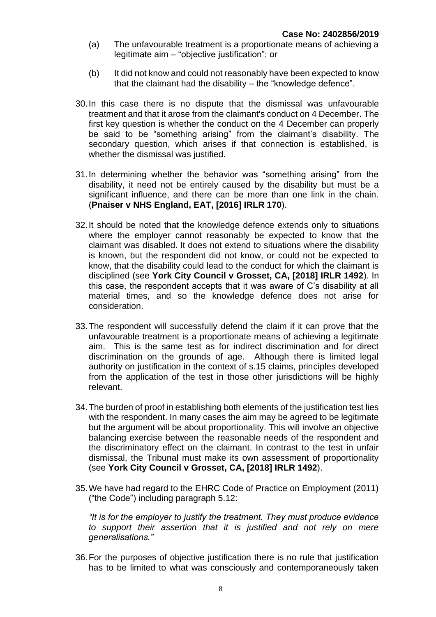- (a) The unfavourable treatment is a proportionate means of achieving a legitimate aim – "objective justification"; or
- (b) It did not know and could not reasonably have been expected to know that the claimant had the disability – the "knowledge defence".
- 30.In this case there is no dispute that the dismissal was unfavourable treatment and that it arose from the claimant's conduct on 4 December. The first key question is whether the conduct on the 4 December can properly be said to be "something arising" from the claimant's disability. The secondary question, which arises if that connection is established, is whether the dismissal was justified.
- 31.In determining whether the behavior was "something arising" from the disability, it need not be entirely caused by the disability but must be a significant influence, and there can be more than one link in the chain. (**Pnaiser v NHS England, EAT, [2016] IRLR 170**).
- 32.It should be noted that the knowledge defence extends only to situations where the employer cannot reasonably be expected to know that the claimant was disabled. It does not extend to situations where the disability is known, but the respondent did not know, or could not be expected to know, that the disability could lead to the conduct for which the claimant is disciplined (see **York City Council v Grosset, CA, [2018] IRLR 1492**). In this case, the respondent accepts that it was aware of C's disability at all material times, and so the knowledge defence does not arise for consideration.
- 33.The respondent will successfully defend the claim if it can prove that the unfavourable treatment is a proportionate means of achieving a legitimate aim. This is the same test as for indirect discrimination and for direct discrimination on the grounds of age. Although there is limited legal authority on justification in the context of s.15 claims, principles developed from the application of the test in those other jurisdictions will be highly relevant.
- 34.The burden of proof in establishing both elements of the justification test lies with the respondent. In many cases the aim may be agreed to be legitimate but the argument will be about proportionality. This will involve an objective balancing exercise between the reasonable needs of the respondent and the discriminatory effect on the claimant. In contrast to the test in unfair dismissal, the Tribunal must make its own assessment of proportionality (see **York City Council v Grosset, CA, [2018] IRLR 1492**).
- 35.We have had regard to the EHRC Code of Practice on Employment (2011) ("the Code") including paragraph 5.12:

*"It is for the employer to justify the treatment. They must produce evidence to support their assertion that it is justified and not rely on mere generalisations."*

36.For the purposes of objective justification there is no rule that justification has to be limited to what was consciously and contemporaneously taken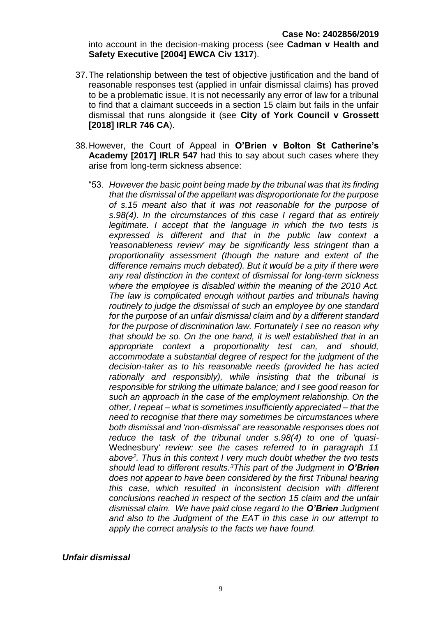into account in the decision-making process (see **Cadman v Health and Safety Executive [2004] EWCA Civ 1317**).

- 37.The relationship between the test of objective justification and the band of reasonable responses test (applied in unfair dismissal claims) has proved to be a problematic issue. It is not necessarily any error of law for a tribunal to find that a claimant succeeds in a section 15 claim but fails in the unfair dismissal that runs alongside it (see **City of York Council v Grossett [2018] IRLR 746 CA**).
- 38.However, the Court of Appeal in **O'Brien v Bolton St Catherine's Academy [2017] IRLR 547** had this to say about such cases where they arise from long-term sickness absence:
	- "53. *However the basic point being made by the tribunal was that its finding that the dismissal of the appellant was disproportionate for the purpose of s.15 meant also that it was not reasonable for the purpose of s.98(4). In the circumstances of this case I regard that as entirely legitimate. I accept that the language in which the two tests is expressed is different and that in the public law context a 'reasonableness review' may be significantly less stringent than a proportionality assessment (though the nature and extent of the difference remains much debated). But it would be a pity if there were any real distinction in the context of dismissal for long-term sickness where the employee is disabled within the meaning of the 2010 Act. The law is complicated enough without parties and tribunals having routinely to judge the dismissal of such an employee by one standard for the purpose of an unfair dismissal claim and by a different standard for the purpose of discrimination law. Fortunately I see no reason why that should be so. On the one hand, it is well established that in an appropriate context a proportionality test can, and should, accommodate a substantial degree of respect for the judgment of the decision-taker as to his reasonable needs (provided he has acted rationally and responsibly), while insisting that the tribunal is responsible for striking the ultimate balance; and I see good reason for such an approach in the case of the employment relationship. On the other, I repeat – what is sometimes insufficiently appreciated – that the need to recognise that there may sometimes be circumstances where both dismissal and 'non-dismissal' are reasonable responses does not reduce the task of the tribunal under s.98(4) to one of 'quasi-*Wednesbury*' review: see the cases referred to in paragraph 11 above<sup>2</sup> . Thus in this context I very much doubt whether the two tests should lead to different results.<sup>3</sup>This part of the Judgment in O'Brien does not appear to have been considered by the first Tribunal hearing this case, which resulted in inconsistent decision with different conclusions reached in respect of the section 15 claim and the unfair dismissal claim. We have paid close regard to the O'Brien Judgment and also to the Judgment of the EAT in this case in our attempt to apply the correct analysis to the facts we have found.*

#### *Unfair dismissal*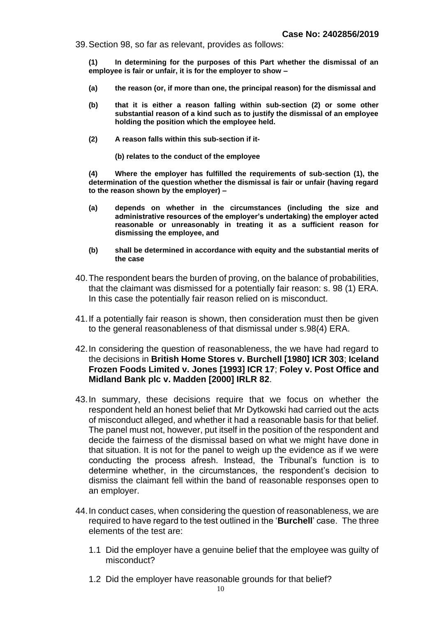39.Section 98, so far as relevant, provides as follows:

 **(1) In determining for the purposes of this Part whether the dismissal of an employee is fair or unfair, it is for the employer to show –**

- **(a) the reason (or, if more than one, the principal reason) for the dismissal and**
- **(b) that it is either a reason falling within sub-section (2) or some other substantial reason of a kind such as to justify the dismissal of an employee holding the position which the employee held.**
- **(2) A reason falls within this sub-section if it-**
	- **(b) relates to the conduct of the employee**

 **(4) Where the employer has fulfilled the requirements of sub-section (1), the determination of the question whether the dismissal is fair or unfair (having regard to the reason shown by the employer) –**

- **(a) depends on whether in the circumstances (including the size and administrative resources of the employer's undertaking) the employer acted reasonable or unreasonably in treating it as a sufficient reason for dismissing the employee, and**
- **(b) shall be determined in accordance with equity and the substantial merits of the case**
- 40.The respondent bears the burden of proving, on the balance of probabilities, that the claimant was dismissed for a potentially fair reason: s. 98 (1) ERA. In this case the potentially fair reason relied on is misconduct.
- 41.If a potentially fair reason is shown, then consideration must then be given to the general reasonableness of that dismissal under s.98(4) ERA.
- 42.In considering the question of reasonableness, the we have had regard to the decisions in **British Home Stores v. Burchell [1980] ICR 303**; **Iceland Frozen Foods Limited v. Jones [1993] ICR 17**; **Foley v. Post Office and Midland Bank plc v. Madden [2000] IRLR 82**.
- 43.In summary, these decisions require that we focus on whether the respondent held an honest belief that Mr Dytkowski had carried out the acts of misconduct alleged, and whether it had a reasonable basis for that belief. The panel must not, however, put itself in the position of the respondent and decide the fairness of the dismissal based on what we might have done in that situation. It is not for the panel to weigh up the evidence as if we were conducting the process afresh. Instead, the Tribunal's function is to determine whether, in the circumstances, the respondent's decision to dismiss the claimant fell within the band of reasonable responses open to an employer.
- 44.In conduct cases, when considering the question of reasonableness, we are required to have regard to the test outlined in the '**Burchell**' case. The three elements of the test are:
	- 1.1 Did the employer have a genuine belief that the employee was guilty of misconduct?
	- 1.2 Did the employer have reasonable grounds for that belief?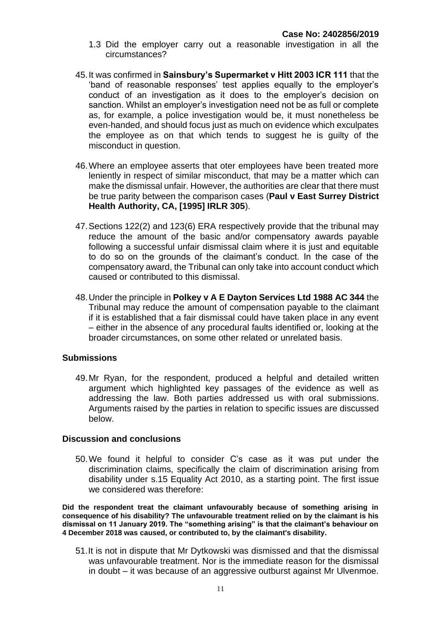- 1.3 Did the employer carry out a reasonable investigation in all the circumstances?
- 45.It was confirmed in **Sainsbury's Supermarket v Hitt 2003 ICR 111** that the 'band of reasonable responses' test applies equally to the employer's conduct of an investigation as it does to the employer's decision on sanction. Whilst an employer's investigation need not be as full or complete as, for example, a police investigation would be, it must nonetheless be even-handed, and should focus just as much on evidence which exculpates the employee as on that which tends to suggest he is guilty of the misconduct in question.
- 46.Where an employee asserts that oter employees have been treated more leniently in respect of similar misconduct, that may be a matter which can make the dismissal unfair. However, the authorities are clear that there must be true parity between the comparison cases (**Paul v East Surrey District Health Authority, CA, [1995] IRLR 305**).
- 47.Sections 122(2) and 123(6) ERA respectively provide that the tribunal may reduce the amount of the basic and/or compensatory awards payable following a successful unfair dismissal claim where it is just and equitable to do so on the grounds of the claimant's conduct. In the case of the compensatory award, the Tribunal can only take into account conduct which caused or contributed to this dismissal.
- 48.Under the principle in **Polkey v A E Dayton Services Ltd 1988 AC 344** the Tribunal may reduce the amount of compensation payable to the claimant if it is established that a fair dismissal could have taken place in any event – either in the absence of any procedural faults identified or, looking at the broader circumstances, on some other related or unrelated basis.

#### **Submissions**

49.Mr Ryan, for the respondent, produced a helpful and detailed written argument which highlighted key passages of the evidence as well as addressing the law. Both parties addressed us with oral submissions. Arguments raised by the parties in relation to specific issues are discussed below.

#### **Discussion and conclusions**

50.We found it helpful to consider C's case as it was put under the discrimination claims, specifically the claim of discrimination arising from disability under s.15 Equality Act 2010, as a starting point. The first issue we considered was therefore:

**Did the respondent treat the claimant unfavourably because of something arising in consequence of his disability? The unfavourable treatment relied on by the claimant is his dismissal on 11 January 2019. The "something arising" is that the claimant's behaviour on 4 December 2018 was caused, or contributed to, by the claimant's disability.**

51.It is not in dispute that Mr Dytkowski was dismissed and that the dismissal was unfavourable treatment. Nor is the immediate reason for the dismissal in doubt – it was because of an aggressive outburst against Mr Ulvenmoe.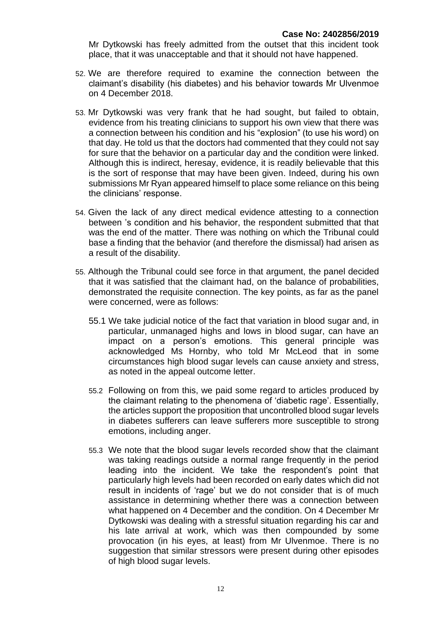Mr Dytkowski has freely admitted from the outset that this incident took place, that it was unacceptable and that it should not have happened.

- 52. We are therefore required to examine the connection between the claimant's disability (his diabetes) and his behavior towards Mr Ulvenmoe on 4 December 2018.
- 53. Mr Dytkowski was very frank that he had sought, but failed to obtain, evidence from his treating clinicians to support his own view that there was a connection between his condition and his "explosion" (to use his word) on that day. He told us that the doctors had commented that they could not say for sure that the behavior on a particular day and the condition were linked. Although this is indirect, heresay, evidence, it is readily believable that this is the sort of response that may have been given. Indeed, during his own submissions Mr Ryan appeared himself to place some reliance on this being the clinicians' response.
- 54. Given the lack of any direct medical evidence attesting to a connection between 's condition and his behavior, the respondent submitted that that was the end of the matter. There was nothing on which the Tribunal could base a finding that the behavior (and therefore the dismissal) had arisen as a result of the disability.
- 55. Although the Tribunal could see force in that argument, the panel decided that it was satisfied that the claimant had, on the balance of probabilities, demonstrated the requisite connection. The key points, as far as the panel were concerned, were as follows:
	- 55.1 We take judicial notice of the fact that variation in blood sugar and, in particular, unmanaged highs and lows in blood sugar, can have an impact on a person's emotions. This general principle was acknowledged Ms Hornby, who told Mr McLeod that in some circumstances high blood sugar levels can cause anxiety and stress, as noted in the appeal outcome letter.
	- 55.2 Following on from this, we paid some regard to articles produced by the claimant relating to the phenomena of 'diabetic rage'. Essentially, the articles support the proposition that uncontrolled blood sugar levels in diabetes sufferers can leave sufferers more susceptible to strong emotions, including anger.
	- 55.3 We note that the blood sugar levels recorded show that the claimant was taking readings outside a normal range frequently in the period leading into the incident. We take the respondent's point that particularly high levels had been recorded on early dates which did not result in incidents of 'rage' but we do not consider that is of much assistance in determining whether there was a connection between what happened on 4 December and the condition. On 4 December Mr Dytkowski was dealing with a stressful situation regarding his car and his late arrival at work, which was then compounded by some provocation (in his eyes, at least) from Mr Ulvenmoe. There is no suggestion that similar stressors were present during other episodes of high blood sugar levels.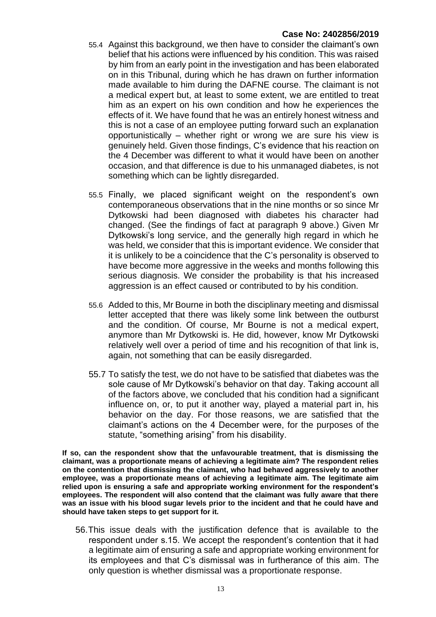- 55.4 Against this background, we then have to consider the claimant's own belief that his actions were influenced by his condition. This was raised by him from an early point in the investigation and has been elaborated on in this Tribunal, during which he has drawn on further information made available to him during the DAFNE course. The claimant is not a medical expert but, at least to some extent, we are entitled to treat him as an expert on his own condition and how he experiences the effects of it. We have found that he was an entirely honest witness and this is not a case of an employee putting forward such an explanation opportunistically – whether right or wrong we are sure his view is genuinely held. Given those findings, C's evidence that his reaction on the 4 December was different to what it would have been on another occasion, and that difference is due to his unmanaged diabetes, is not something which can be lightly disregarded.
- 55.5 Finally, we placed significant weight on the respondent's own contemporaneous observations that in the nine months or so since Mr Dytkowski had been diagnosed with diabetes his character had changed. (See the findings of fact at paragraph 9 above.) Given Mr Dytkowski's long service, and the generally high regard in which he was held, we consider that this is important evidence. We consider that it is unlikely to be a coincidence that the C's personality is observed to have become more aggressive in the weeks and months following this serious diagnosis. We consider the probability is that his increased aggression is an effect caused or contributed to by his condition.
- 55.6 Added to this, Mr Bourne in both the disciplinary meeting and dismissal letter accepted that there was likely some link between the outburst and the condition. Of course, Mr Bourne is not a medical expert, anymore than Mr Dytkowski is. He did, however, know Mr Dytkowski relatively well over a period of time and his recognition of that link is, again, not something that can be easily disregarded.
- 55.7 To satisfy the test, we do not have to be satisfied that diabetes was the sole cause of Mr Dytkowski's behavior on that day. Taking account all of the factors above, we concluded that his condition had a significant influence on, or, to put it another way, played a material part in, his behavior on the day. For those reasons, we are satisfied that the claimant's actions on the 4 December were, for the purposes of the statute, "something arising" from his disability.

**If so, can the respondent show that the unfavourable treatment, that is dismissing the claimant, was a proportionate means of achieving a legitimate aim? The respondent relies on the contention that dismissing the claimant, who had behaved aggressively to another employee, was a proportionate means of achieving a legitimate aim. The legitimate aim relied upon is ensuring a safe and appropriate working environment for the respondent's employees. The respondent will also contend that the claimant was fully aware that there was an issue with his blood sugar levels prior to the incident and that he could have and should have taken steps to get support for it.** 

56.This issue deals with the justification defence that is available to the respondent under s.15. We accept the respondent's contention that it had a legitimate aim of ensuring a safe and appropriate working environment for its employees and that C's dismissal was in furtherance of this aim. The only question is whether dismissal was a proportionate response.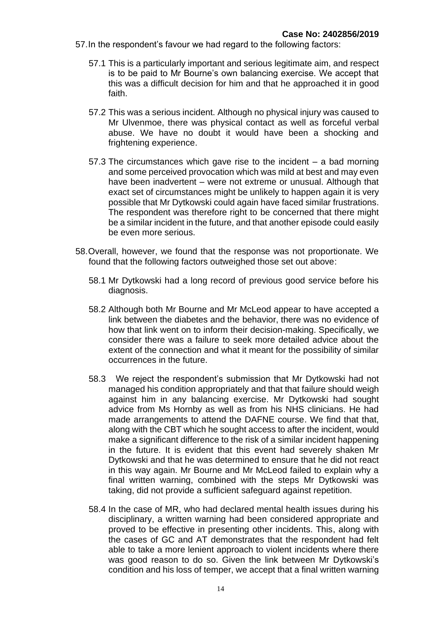- 57.In the respondent's favour we had regard to the following factors:
	- 57.1 This is a particularly important and serious legitimate aim, and respect is to be paid to Mr Bourne's own balancing exercise. We accept that this was a difficult decision for him and that he approached it in good faith.
	- 57.2 This was a serious incident. Although no physical injury was caused to Mr Ulvenmoe, there was physical contact as well as forceful verbal abuse. We have no doubt it would have been a shocking and frightening experience.
	- 57.3 The circumstances which gave rise to the incident a bad morning and some perceived provocation which was mild at best and may even have been inadvertent – were not extreme or unusual. Although that exact set of circumstances might be unlikely to happen again it is very possible that Mr Dytkowski could again have faced similar frustrations. The respondent was therefore right to be concerned that there might be a similar incident in the future, and that another episode could easily be even more serious.
- 58.Overall, however, we found that the response was not proportionate. We found that the following factors outweighed those set out above:
	- 58.1 Mr Dytkowski had a long record of previous good service before his diagnosis.
	- 58.2 Although both Mr Bourne and Mr McLeod appear to have accepted a link between the diabetes and the behavior, there was no evidence of how that link went on to inform their decision-making. Specifically, we consider there was a failure to seek more detailed advice about the extent of the connection and what it meant for the possibility of similar occurrences in the future.
	- 58.3 We reject the respondent's submission that Mr Dytkowski had not managed his condition appropriately and that that failure should weigh against him in any balancing exercise. Mr Dytkowski had sought advice from Ms Hornby as well as from his NHS clinicians. He had made arrangements to attend the DAFNE course. We find that that, along with the CBT which he sought access to after the incident, would make a significant difference to the risk of a similar incident happening in the future. It is evident that this event had severely shaken Mr Dytkowski and that he was determined to ensure that he did not react in this way again. Mr Bourne and Mr McLeod failed to explain why a final written warning, combined with the steps Mr Dytkowski was taking, did not provide a sufficient safeguard against repetition.
	- 58.4 In the case of MR, who had declared mental health issues during his disciplinary, a written warning had been considered appropriate and proved to be effective in presenting other incidents. This, along with the cases of GC and AT demonstrates that the respondent had felt able to take a more lenient approach to violent incidents where there was good reason to do so. Given the link between Mr Dytkowski's condition and his loss of temper, we accept that a final written warning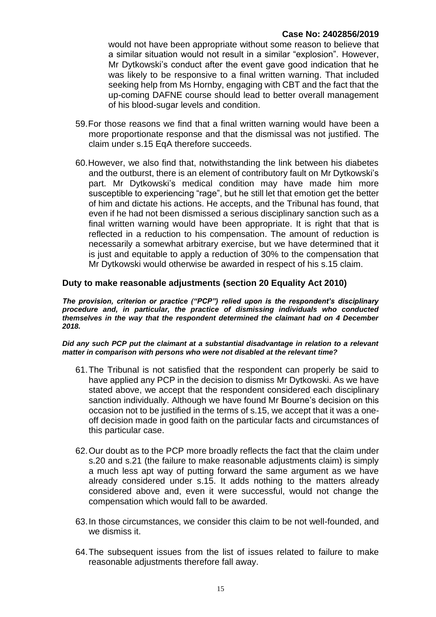would not have been appropriate without some reason to believe that a similar situation would not result in a similar "explosion". However, Mr Dytkowski's conduct after the event gave good indication that he was likely to be responsive to a final written warning. That included seeking help from Ms Hornby, engaging with CBT and the fact that the up-coming DAFNE course should lead to better overall management of his blood-sugar levels and condition.

- 59.For those reasons we find that a final written warning would have been a more proportionate response and that the dismissal was not justified. The claim under s.15 EqA therefore succeeds.
- 60.However, we also find that, notwithstanding the link between his diabetes and the outburst, there is an element of contributory fault on Mr Dytkowski's part. Mr Dytkowski's medical condition may have made him more susceptible to experiencing "rage", but he still let that emotion get the better of him and dictate his actions. He accepts, and the Tribunal has found, that even if he had not been dismissed a serious disciplinary sanction such as a final written warning would have been appropriate. It is right that that is reflected in a reduction to his compensation. The amount of reduction is necessarily a somewhat arbitrary exercise, but we have determined that it is just and equitable to apply a reduction of 30% to the compensation that Mr Dytkowski would otherwise be awarded in respect of his s.15 claim.

#### **Duty to make reasonable adjustments (section 20 Equality Act 2010)**

*The provision, criterion or practice ("PCP") relied upon is the respondent's disciplinary procedure and, in particular, the practice of dismissing individuals who conducted themselves in the way that the respondent determined the claimant had on 4 December 2018.* 

*Did any such PCP put the claimant at a substantial disadvantage in relation to a relevant matter in comparison with persons who were not disabled at the relevant time?*

- 61.The Tribunal is not satisfied that the respondent can properly be said to have applied any PCP in the decision to dismiss Mr Dytkowski. As we have stated above, we accept that the respondent considered each disciplinary sanction individually. Although we have found Mr Bourne's decision on this occasion not to be justified in the terms of s.15, we accept that it was a oneoff decision made in good faith on the particular facts and circumstances of this particular case.
- 62.Our doubt as to the PCP more broadly reflects the fact that the claim under s.20 and s.21 (the failure to make reasonable adjustments claim) is simply a much less apt way of putting forward the same argument as we have already considered under s.15. It adds nothing to the matters already considered above and, even it were successful, would not change the compensation which would fall to be awarded.
- 63.In those circumstances, we consider this claim to be not well-founded, and we dismiss it.
- 64.The subsequent issues from the list of issues related to failure to make reasonable adjustments therefore fall away.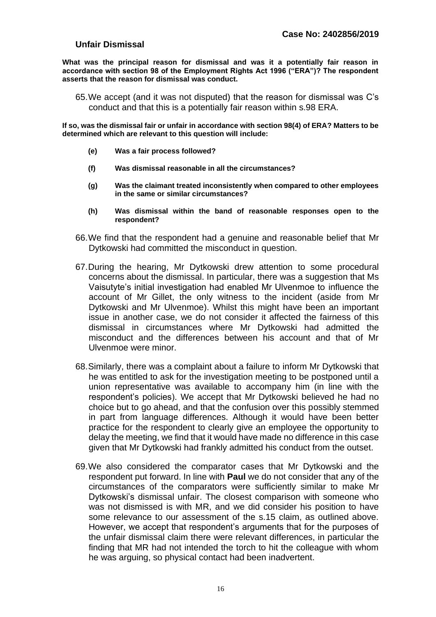### **Unfair Dismissal**

**What was the principal reason for dismissal and was it a potentially fair reason in accordance with section 98 of the Employment Rights Act 1996 ("ERA")? The respondent asserts that the reason for dismissal was conduct.** 

65.We accept (and it was not disputed) that the reason for dismissal was C's conduct and that this is a potentially fair reason within s.98 ERA.

**If so, was the dismissal fair or unfair in accordance with section 98(4) of ERA? Matters to be determined which are relevant to this question will include:**

- **(e) Was a fair process followed?**
- **(f) Was dismissal reasonable in all the circumstances?**
- **(g) Was the claimant treated inconsistently when compared to other employees in the same or similar circumstances?**
- **(h) Was dismissal within the band of reasonable responses open to the respondent?**
- 66.We find that the respondent had a genuine and reasonable belief that Mr Dytkowski had committed the misconduct in question.
- 67.During the hearing, Mr Dytkowski drew attention to some procedural concerns about the dismissal. In particular, there was a suggestion that Ms Vaisutyte's initial investigation had enabled Mr Ulvenmoe to influence the account of Mr Gillet, the only witness to the incident (aside from Mr Dytkowski and Mr Ulvenmoe). Whilst this might have been an important issue in another case, we do not consider it affected the fairness of this dismissal in circumstances where Mr Dytkowski had admitted the misconduct and the differences between his account and that of Mr Ulvenmoe were minor.
- 68.Similarly, there was a complaint about a failure to inform Mr Dytkowski that he was entitled to ask for the investigation meeting to be postponed until a union representative was available to accompany him (in line with the respondent's policies). We accept that Mr Dytkowski believed he had no choice but to go ahead, and that the confusion over this possibly stemmed in part from language differences. Although it would have been better practice for the respondent to clearly give an employee the opportunity to delay the meeting, we find that it would have made no difference in this case given that Mr Dytkowski had frankly admitted his conduct from the outset.
- 69.We also considered the comparator cases that Mr Dytkowski and the respondent put forward. In line with **Paul** we do not consider that any of the circumstances of the comparators were sufficiently similar to make Mr Dytkowski's dismissal unfair. The closest comparison with someone who was not dismissed is with MR, and we did consider his position to have some relevance to our assessment of the s.15 claim, as outlined above. However, we accept that respondent's arguments that for the purposes of the unfair dismissal claim there were relevant differences, in particular the finding that MR had not intended the torch to hit the colleague with whom he was arguing, so physical contact had been inadvertent.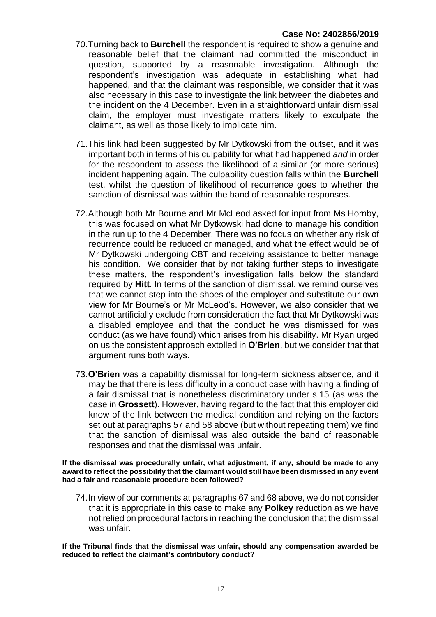- 70.Turning back to **Burchell** the respondent is required to show a genuine and reasonable belief that the claimant had committed the misconduct in question, supported by a reasonable investigation. Although the respondent's investigation was adequate in establishing what had happened, and that the claimant was responsible, we consider that it was also necessary in this case to investigate the link between the diabetes and the incident on the 4 December. Even in a straightforward unfair dismissal claim, the employer must investigate matters likely to exculpate the claimant, as well as those likely to implicate him.
- 71.This link had been suggested by Mr Dytkowski from the outset, and it was important both in terms of his culpability for what had happened *and* in order for the respondent to assess the likelihood of a similar (or more serious) incident happening again. The culpability question falls within the **Burchell**  test, whilst the question of likelihood of recurrence goes to whether the sanction of dismissal was within the band of reasonable responses.
- 72.Although both Mr Bourne and Mr McLeod asked for input from Ms Hornby, this was focused on what Mr Dytkowski had done to manage his condition in the run up to the 4 December. There was no focus on whether any risk of recurrence could be reduced or managed, and what the effect would be of Mr Dytkowski undergoing CBT and receiving assistance to better manage his condition. We consider that by not taking further steps to investigate these matters, the respondent's investigation falls below the standard required by **Hitt**. In terms of the sanction of dismissal, we remind ourselves that we cannot step into the shoes of the employer and substitute our own view for Mr Bourne's or Mr McLeod's. However, we also consider that we cannot artificially exclude from consideration the fact that Mr Dytkowski was a disabled employee and that the conduct he was dismissed for was conduct (as we have found) which arises from his disability. Mr Ryan urged on us the consistent approach extolled in **O'Brien**, but we consider that that argument runs both ways.
- 73.**O'Brien** was a capability dismissal for long-term sickness absence, and it may be that there is less difficulty in a conduct case with having a finding of a fair dismissal that is nonetheless discriminatory under s.15 (as was the case in **Grossett**). However, having regard to the fact that this employer did know of the link between the medical condition and relying on the factors set out at paragraphs 57 and 58 above (but without repeating them) we find that the sanction of dismissal was also outside the band of reasonable responses and that the dismissal was unfair.

**If the dismissal was procedurally unfair, what adjustment, if any, should be made to any award to reflect the possibility that the claimant would still have been dismissed in any event had a fair and reasonable procedure been followed?**

74.In view of our comments at paragraphs 67 and 68 above, we do not consider that it is appropriate in this case to make any **Polkey** reduction as we have not relied on procedural factors in reaching the conclusion that the dismissal was unfair.

**If the Tribunal finds that the dismissal was unfair, should any compensation awarded be reduced to reflect the claimant's contributory conduct?**